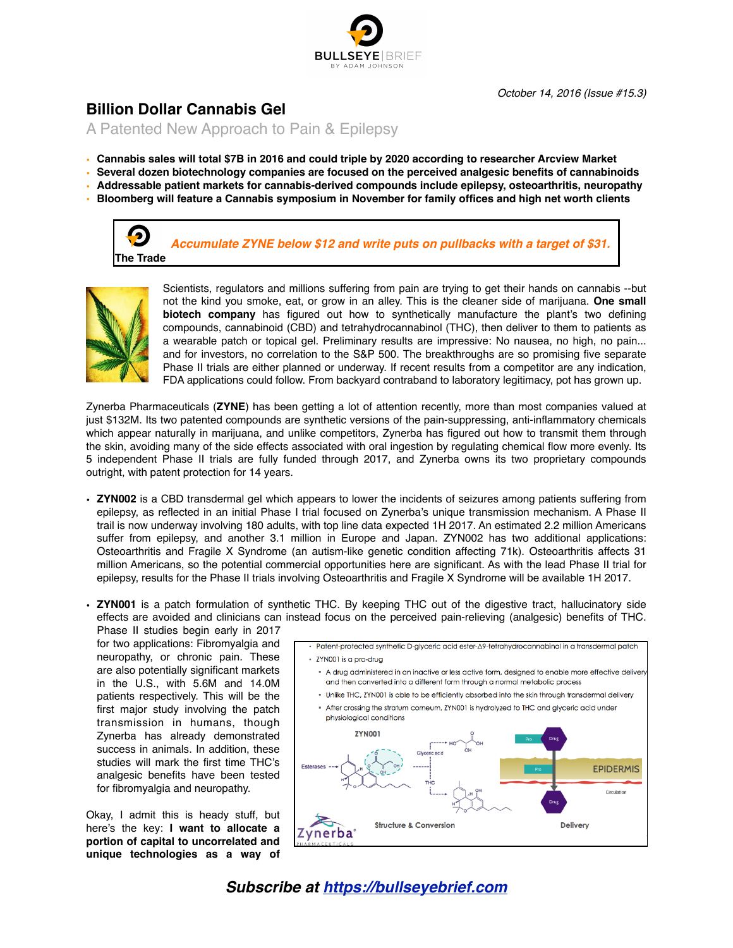

*October 14, 2016 (Issue #15.3)*

## **Billion Dollar Cannabis Gel**

A Patented New Approach to Pain & Epilepsy

- **Cannabis sales will total \$7B in 2016 and could triple by 2020 according to researcher Arcview Market**
- **Several dozen biotechnology companies are focused on the perceived analgesic benefits of cannabinoids**
- **Addressable patient markets for cannabis-derived compounds include epilepsy, osteoarthritis, neuropathy**
- **Bloomberg will feature a Cannabis symposium in November for family offices and high net worth clients**





Scientists, regulators and millions suffering from pain are trying to get their hands on cannabis --but not the kind you smoke, eat, or grow in an alley. This is the cleaner side of marijuana. **One small biotech company** has figured out how to synthetically manufacture the plant's two defining compounds, cannabinoid (CBD) and tetrahydrocannabinol (THC), then deliver to them to patients as a wearable patch or topical gel. Preliminary results are impressive: No nausea, no high, no pain... and for investors, no correlation to the S&P 500. The breakthroughs are so promising five separate Phase II trials are either planned or underway. If recent results from a competitor are any indication, FDA applications could follow. From backyard contraband to laboratory legitimacy, pot has grown up.

Zynerba Pharmaceuticals (**ZYNE**) has been getting a lot of attention recently, more than most companies valued at just \$132M. Its two patented compounds are synthetic versions of the pain-suppressing, anti-inflammatory chemicals which appear naturally in marijuana, and unlike competitors, Zynerba has figured out how to transmit them through the skin, avoiding many of the side effects associated with oral ingestion by regulating chemical flow more evenly. Its 5 independent Phase II trials are fully funded through 2017, and Zynerba owns its two proprietary compounds outright, with patent protection for 14 years.

- **ZYN002** is a CBD transdermal gel which appears to lower the incidents of seizures among patients suffering from epilepsy, as reflected in an initial Phase I trial focused on Zynerba's unique transmission mechanism. A Phase II trail is now underway involving 180 adults, with top line data expected 1H 2017. An estimated 2.2 million Americans suffer from epilepsy, and another 3.1 million in Europe and Japan. ZYN002 has two additional applications: Osteoarthritis and Fragile X Syndrome (an autism-like genetic condition affecting 71k). Osteoarthritis affects 31 million Americans, so the potential commercial opportunities here are significant. As with the lead Phase II trial for epilepsy, results for the Phase II trials involving Osteoarthritis and Fragile X Syndrome will be available 1H 2017.
- **ZYN001** is a patch formulation of synthetic THC. By keeping THC out of the digestive tract, hallucinatory side effects are avoided and clinicians can instead focus on the perceived pain-relieving (analgesic) benefits of THC.

Phase II studies begin early in 2017 for two applications: Fibromyalgia and neuropathy, or chronic pain. These are also potentially significant markets in the U.S., with 5.6M and 14.0M patients respectively. This will be the first major study involving the patch transmission in humans, though Zynerba has already demonstrated success in animals. In addition, these studies will mark the first time THC's analgesic benefits have been tested for fibromyalgia and neuropathy.

Okay, I admit this is heady stuff, but here's the key: **I want to allocate a portion of capital to uncorrelated and unique technologies as a way of** 

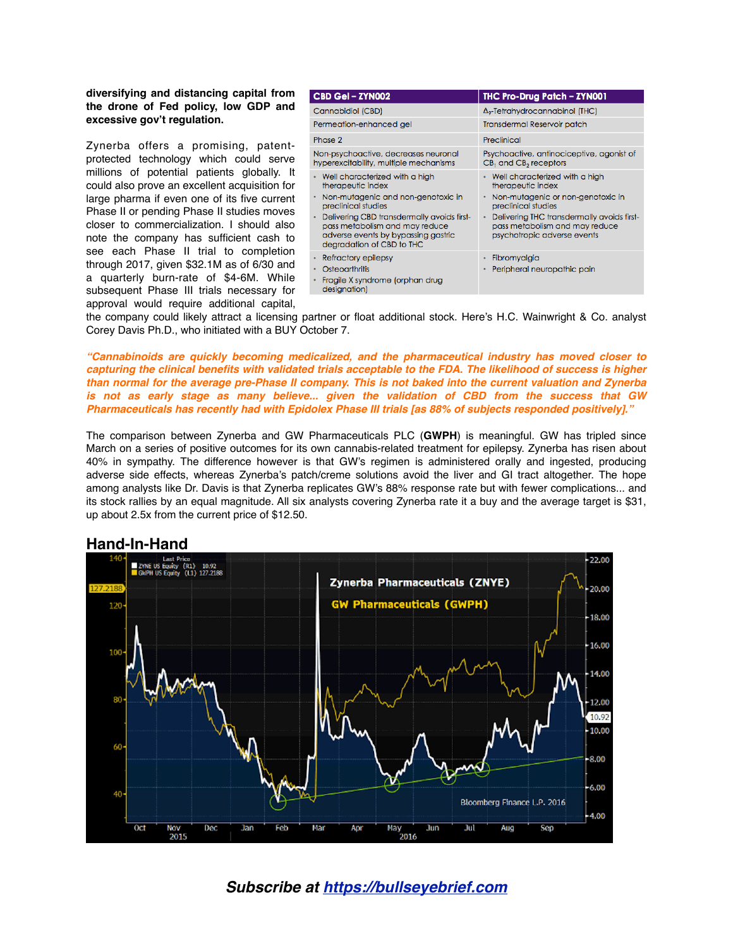**diversifying and distancing capital from the drone of Fed policy, low GDP and excessive gov't regulation.** 

Zynerba offers a promising, patentprotected technology which could serve millions of potential patients globally. It could also prove an excellent acquisition for large pharma if even one of its five current Phase II or pending Phase II studies moves closer to commercialization. I should also note the company has sufficient cash to see each Phase II trial to completion through 2017, given \$32.1M as of 6/30 and a quarterly burn-rate of \$4-6M. While subsequent Phase III trials necessary for approval would require additional capital,

| CBD Gel - ZYN002                                                                                                                                 | <b>THC Pro-Drug Patch - ZYN001</b>                                                                               |
|--------------------------------------------------------------------------------------------------------------------------------------------------|------------------------------------------------------------------------------------------------------------------|
| Cannabidiol (CBD)                                                                                                                                | $\Delta_{\circ}$ -Tetrahydrocannabinol (THC)                                                                     |
| Permeation-enhanced gel                                                                                                                          | <b>Transdermal Reservoir patch</b>                                                                               |
| Phase 2                                                                                                                                          | Preclinical                                                                                                      |
| Non-psychoactive, decreases neuronal<br>hyperexcitability, multiple mechanisms                                                                   | Psychoactive, antinociceptive, agonist of<br>CB <sub>1</sub> and CB <sub>2</sub> receptors                       |
| Well characterized with a high<br>therapeutic index                                                                                              | • Well characterized with a high<br>therapeutic index                                                            |
| Non-mutagenic and non-genotoxic in<br>preclinical studies                                                                                        | Non-mutagenic or non-genotoxic in<br>٠<br>preclinical studies                                                    |
| Delivering CBD transdermally avoids first-<br>pass metabolism and may reduce<br>adverse events by bypassing gastric<br>degradation of CBD to THC | Delivering THC transdermally avoids first-<br>٠<br>pass metabolism and may reduce<br>psychotropic adverse events |
| <b>Refractory epilepsy</b>                                                                                                                       | Fibromyalgia                                                                                                     |
| Osteoarthritis                                                                                                                                   | Peripheral neuropathic pain                                                                                      |
| Fragile X syndrome (orphan drug<br>designation)                                                                                                  |                                                                                                                  |

the company could likely attract a licensing partner or float additional stock. Here's H.C. Wainwright & Co. analyst Corey Davis Ph.D., who initiated with a BUY October 7.

*"Cannabinoids are quickly becoming medicalized, and the pharmaceutical industry has moved closer to capturing the clinical benefits with validated trials acceptable to the FDA. The likelihood of success is higher than normal for the average pre-Phase II company. This is not baked into the current valuation and Zynerba is not as early stage as many believe... given the validation of CBD from the success that GW Pharmaceuticals has recently had with Epidolex Phase III trials [as 88% of subjects responded positively]."*

The comparison between Zynerba and GW Pharmaceuticals PLC (**GWPH**) is meaningful. GW has tripled since March on a series of positive outcomes for its own cannabis-related treatment for epilepsy. Zynerba has risen about 40% in sympathy. The difference however is that GW's regimen is administered orally and ingested, producing adverse side effects, whereas Zynerba's patch/creme solutions avoid the liver and GI tract altogether. The hope among analysts like Dr. Davis is that Zynerba replicates GW's 88% response rate but with fewer complications... and its stock rallies by an equal magnitude. All six analysts covering Zynerba rate it a buy and the average target is \$31, up about 2.5x from the current price of \$12.50.



# **Hand-In-Hand**

### *Subscribe at <https://bullseyebrief.com>*